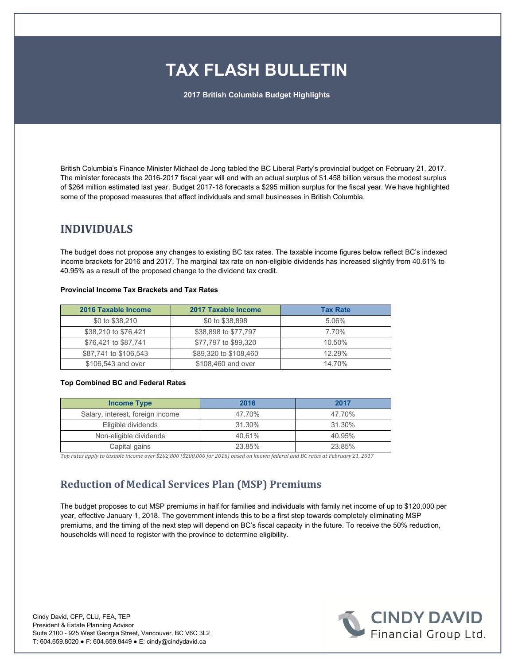# **TAX FLASH BULLETIN**

**2017 British Columbia Budget Highlights** 

British Columbia's Finance Minister Michael de Jong tabled the BC Liberal Party's provincial budget on February 21, 2017. The minister forecasts the 2016-2017 fiscal year will end with an actual surplus of \$1.458 billion versus the modest surplus of \$264 million estimated last year. Budget 2017-18 forecasts a \$295 million surplus for the fiscal year. We have highlighted some of the proposed measures that affect individuals and small businesses in British Columbia.

# **INDIVIDUALS**

The budget does not propose any changes to existing BC tax rates. The taxable income figures below reflect BC's indexed income brackets for 2016 and 2017. The marginal tax rate on non-eligible dividends has increased slightly from 40.61% to 40.95% as a result of the proposed change to the dividend tax credit.

| 2016 Taxable Income   | 2017 Taxable Income   | <b>Tax Rate</b> |
|-----------------------|-----------------------|-----------------|
| \$0 to \$38,210       | \$0 to \$38,898       | 5.06%           |
| \$38,210 to \$76,421  | \$38,898 to \$77,797  | 7.70%           |
| \$76,421 to \$87,741  | \$77,797 to \$89,320  | 10.50%          |
| \$87,741 to \$106,543 | \$89,320 to \$108,460 | 12.29%          |
| \$106,543 and over    | \$108,460 and over    | 14.70%          |

#### **Provincial Income Tax Brackets and Tax Rates**

#### **Top Combined BC and Federal Rates**

| <b>Income Type</b>               | 2016   | 2017   |
|----------------------------------|--------|--------|
| Salary, interest, foreign income | 47.70% | 47.70% |
| Eligible dividends               | 31.30% | 31.30% |
| Non-eligible dividends           | 40.61% | 40.95% |
| Capital gains                    | 23.85% | 23.85% |

*Top rates apply to taxable income over \$202,800 (\$200,000 for 2016) based on known federal and BC rates at February 21, 2017* 

# **Reduction of Medical Services Plan (MSP) Premiums**

The budget proposes to cut MSP premiums in half for families and individuals with family net income of up to \$120,000 per year, effective January 1, 2018. The government intends this to be a first step towards completely eliminating MSP premiums, and the timing of the next step will depend on BC's fiscal capacity in the future. To receive the 50% reduction, households will need to register with the province to determine eligibility.



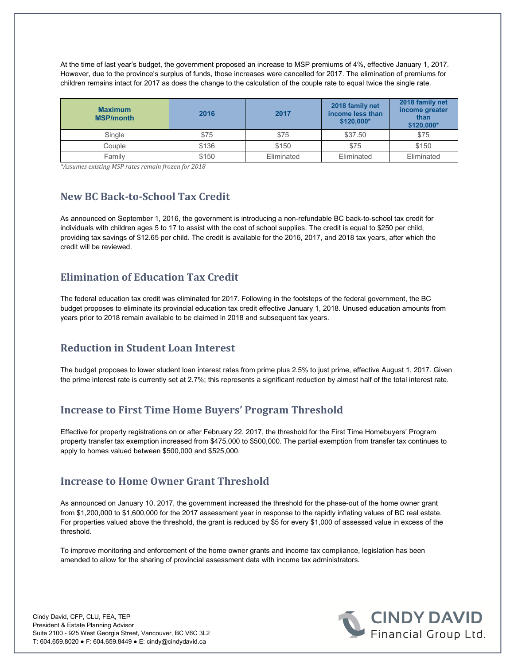At the time of last year's budget, the government proposed an increase to MSP premiums of 4%, effective January 1, 2017. However, due to the province's surplus of funds, those increases were cancelled for 2017. The elimination of premiums for children remains intact for 2017 as does the change to the calculation of the couple rate to equal twice the single rate.

| <b>Maximum</b><br><b>MSP/month</b> | 2016  | 2017       | 2018 family net<br>income less than<br>\$120.000* | 2018 family net<br>income greater<br>than<br>\$120,000* |
|------------------------------------|-------|------------|---------------------------------------------------|---------------------------------------------------------|
| Single                             | \$75  | \$75       | \$37.50                                           | \$75                                                    |
| Couple                             | \$136 | \$150      | \$75                                              | \$150                                                   |
| Family                             | \$150 | Eliminated | Eliminated                                        | Eliminated                                              |

*\*Assumes existing MSP rates remain frozen for 2018*

#### **New BC Back-to-School Tax Credit**

As announced on September 1, 2016, the government is introducing a non-refundable BC back-to-school tax credit for individuals with children ages 5 to 17 to assist with the cost of school supplies. The credit is equal to \$250 per child, providing tax savings of \$12.65 per child. The credit is available for the 2016, 2017, and 2018 tax years, after which the credit will be reviewed.

#### **Elimination of Education Tax Credit**

The federal education tax credit was eliminated for 2017. Following in the footsteps of the federal government, the BC budget proposes to eliminate its provincial education tax credit effective January 1, 2018. Unused education amounts from years prior to 2018 remain available to be claimed in 2018 and subsequent tax years.

# **Reduction in Student Loan Interest**

The budget proposes to lower student loan interest rates from prime plus 2.5% to just prime, effective August 1, 2017. Given the prime interest rate is currently set at 2.7%; this represents a significant reduction by almost half of the total interest rate.

# **Increase to First Time Home Buyers' Program Threshold**

Effective for property registrations on or after February 22, 2017, the threshold for the First Time Homebuyers' Program property transfer tax exemption increased from \$475,000 to \$500,000. The partial exemption from transfer tax continues to apply to homes valued between \$500,000 and \$525,000.

# **Increase to Home Owner Grant Threshold**

As announced on January 10, 2017, the government increased the threshold for the phase-out of the home owner grant from \$1,200,000 to \$1,600,000 for the 2017 assessment year in response to the rapidly inflating values of BC real estate. For properties valued above the threshold, the grant is reduced by \$5 for every \$1,000 of assessed value in excess of the threshold.

To improve monitoring and enforcement of the home owner grants and income tax compliance, legislation has been amended to allow for the sharing of provincial assessment data with income tax administrators.

Cindy David, CFP, CLU, FEA, TEP President & Estate Planning Advisor Suite 2100 - 925 West Georgia Street, Vancouver, BC V6C 3L2 T: 604.659.8020 ● F: 604.659.8449 ● E: cindy@cindydavid.ca

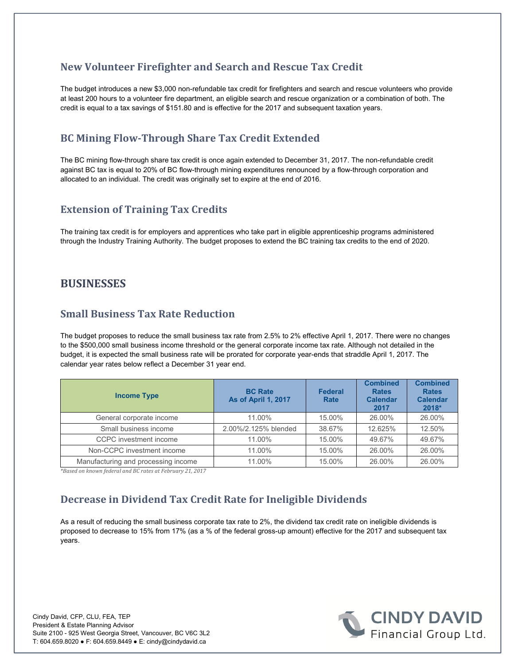#### **New Volunteer Firefighter and Search and Rescue Tax Credit**

The budget introduces a new \$3,000 non-refundable tax credit for firefighters and search and rescue volunteers who provide at least 200 hours to a volunteer fire department, an eligible search and rescue organization or a combination of both. The credit is equal to a tax savings of \$151.80 and is effective for the 2017 and subsequent taxation years.

# **BC Mining Flow-Through Share Tax Credit Extended**

The BC mining flow-through share tax credit is once again extended to December 31, 2017. The non-refundable credit against BC tax is equal to 20% of BC flow-through mining expenditures renounced by a flow-through corporation and allocated to an individual. The credit was originally set to expire at the end of 2016.

#### **Extension of Training Tax Credits**

The training tax credit is for employers and apprentices who take part in eligible apprenticeship programs administered through the Industry Training Authority. The budget proposes to extend the BC training tax credits to the end of 2020.

#### **BUSINESSES**

#### **Small Business Tax Rate Reduction**

The budget proposes to reduce the small business tax rate from 2.5% to 2% effective April 1, 2017. There were no changes to the \$500,000 small business income threshold or the general corporate income tax rate. Although not detailed in the budget, it is expected the small business rate will be prorated for corporate year-ends that straddle April 1, 2017. The calendar year rates below reflect a December 31 year end.

| <b>Income Type</b>                  | <b>BC Rate</b><br><b>As of April 1, 2017</b> | <b>Federal</b><br>Rate | <b>Combined</b><br><b>Rates</b><br><b>Calendar</b><br>2017 | <b>Combined</b><br><b>Rates</b><br><b>Calendar</b><br>2018* |
|-------------------------------------|----------------------------------------------|------------------------|------------------------------------------------------------|-------------------------------------------------------------|
| General corporate income            | 11.00%                                       | 15.00%                 | 26.00%                                                     | 26.00%                                                      |
| Small business income               | 2.00%/2.125% blended                         | 38.67%                 | 12.625%                                                    | 12.50%                                                      |
| CCPC investment income              | 11.00%                                       | 15.00%                 | 49.67%                                                     | 49.67%                                                      |
| Non-CCPC investment income          | 11.00%                                       | 15.00%                 | 26.00%                                                     | 26.00%                                                      |
| Manufacturing and processing income | 11.00%                                       | 15.00%                 | 26.00%                                                     | 26.00%                                                      |

*\*Based on known federal and BC rates at February 21, 2017* 

# **Decrease in Dividend Tax Credit Rate for Ineligible Dividends**

As a result of reducing the small business corporate tax rate to 2%, the dividend tax credit rate on ineligible dividends is proposed to decrease to 15% from 17% (as a % of the federal gross-up amount) effective for the 2017 and subsequent tax years.